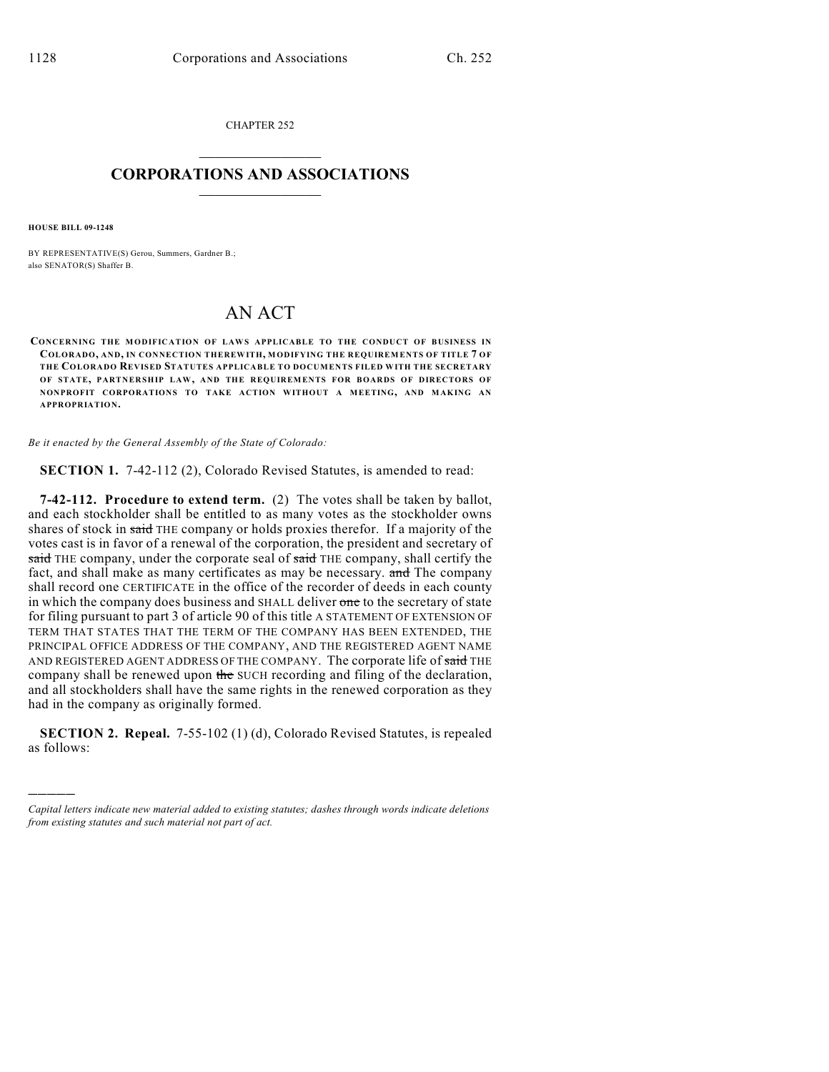CHAPTER 252  $\mathcal{L}_\text{max}$  . The set of the set of the set of the set of the set of the set of the set of the set of the set of the set of the set of the set of the set of the set of the set of the set of the set of the set of the set

## **CORPORATIONS AND ASSOCIATIONS**  $\_$   $\_$   $\_$   $\_$   $\_$   $\_$   $\_$   $\_$   $\_$

**HOUSE BILL 09-1248**

)))))

BY REPRESENTATIVE(S) Gerou, Summers, Gardner B.; also SENATOR(S) Shaffer B.

## AN ACT

**CONCERNING THE MODIFICATION OF LAWS APPLICABLE TO THE CONDUCT OF BUSINESS IN COLORADO, AND, IN CONNECTION THEREWITH, MODIFYING THE REQUIREMENTS OF TITLE 7 OF THE COLORADO REVISED STATUTES APPLICABLE TO DOCUMENTS FILED WITH THE SECRETARY OF STATE, PARTNERSHIP LAW, AND THE REQUIREMENTS FOR BOARDS OF DIRECTORS OF NONPROFIT CORPORATIONS TO TAKE ACTION WITHOUT A MEETING, AND MAKING AN APPROPRIATION.**

*Be it enacted by the General Assembly of the State of Colorado:*

**SECTION 1.** 7-42-112 (2), Colorado Revised Statutes, is amended to read:

**7-42-112. Procedure to extend term.** (2) The votes shall be taken by ballot, and each stockholder shall be entitled to as many votes as the stockholder owns shares of stock in said THE company or holds proxies therefor. If a majority of the votes cast is in favor of a renewal of the corporation, the president and secretary of said THE company, under the corporate seal of said THE company, shall certify the fact, and shall make as many certificates as may be necessary. and The company shall record one CERTIFICATE in the office of the recorder of deeds in each county in which the company does business and SHALL deliver one to the secretary of state for filing pursuant to part 3 of article 90 of this title A STATEMENT OF EXTENSION OF TERM THAT STATES THAT THE TERM OF THE COMPANY HAS BEEN EXTENDED, THE PRINCIPAL OFFICE ADDRESS OF THE COMPANY, AND THE REGISTERED AGENT NAME AND REGISTERED AGENT ADDRESS OF THE COMPANY. The corporate life of said THE company shall be renewed upon the SUCH recording and filing of the declaration, and all stockholders shall have the same rights in the renewed corporation as they had in the company as originally formed.

**SECTION 2. Repeal.** 7-55-102 (1) (d), Colorado Revised Statutes, is repealed as follows:

*Capital letters indicate new material added to existing statutes; dashes through words indicate deletions from existing statutes and such material not part of act.*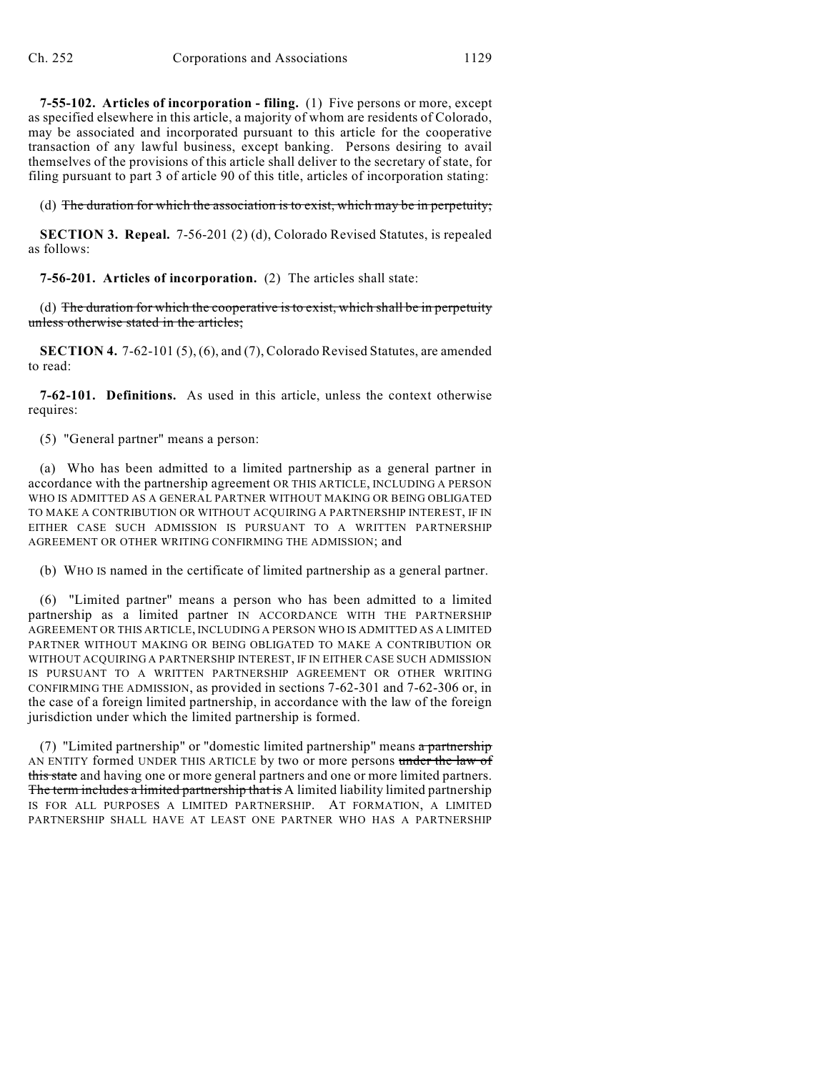**7-55-102. Articles of incorporation - filing.** (1) Five persons or more, except as specified elsewhere in this article, a majority of whom are residents of Colorado, may be associated and incorporated pursuant to this article for the cooperative transaction of any lawful business, except banking. Persons desiring to avail themselves of the provisions of this article shall deliver to the secretary of state, for filing pursuant to part 3 of article 90 of this title, articles of incorporation stating:

(d) The duration for which the association is to exist, which may be in perpetuity;

**SECTION 3. Repeal.** 7-56-201 (2) (d), Colorado Revised Statutes, is repealed as follows:

**7-56-201. Articles of incorporation.** (2) The articles shall state:

(d) The duration for which the cooperative is to exist, which shall be in perpetuity unless otherwise stated in the articles:

**SECTION 4.** 7-62-101 (5), (6), and (7), Colorado Revised Statutes, are amended to read:

**7-62-101. Definitions.** As used in this article, unless the context otherwise requires:

(5) "General partner" means a person:

(a) Who has been admitted to a limited partnership as a general partner in accordance with the partnership agreement OR THIS ARTICLE, INCLUDING A PERSON WHO IS ADMITTED AS A GENERAL PARTNER WITHOUT MAKING OR BEING OBLIGATED TO MAKE A CONTRIBUTION OR WITHOUT ACQUIRING A PARTNERSHIP INTEREST, IF IN EITHER CASE SUCH ADMISSION IS PURSUANT TO A WRITTEN PARTNERSHIP AGREEMENT OR OTHER WRITING CONFIRMING THE ADMISSION; and

(b) WHO IS named in the certificate of limited partnership as a general partner.

(6) "Limited partner" means a person who has been admitted to a limited partnership as a limited partner IN ACCORDANCE WITH THE PARTNERSHIP AGREEMENT OR THIS ARTICLE, INCLUDING A PERSON WHO IS ADMITTED AS A LIMITED PARTNER WITHOUT MAKING OR BEING OBLIGATED TO MAKE A CONTRIBUTION OR WITHOUT ACQUIRING A PARTNERSHIP INTEREST, IF IN EITHER CASE SUCH ADMISSION IS PURSUANT TO A WRITTEN PARTNERSHIP AGREEMENT OR OTHER WRITING CONFIRMING THE ADMISSION, as provided in sections 7-62-301 and 7-62-306 or, in the case of a foreign limited partnership, in accordance with the law of the foreign jurisdiction under which the limited partnership is formed.

(7) "Limited partnership" or "domestic limited partnership" means  $\alpha$  partnership AN ENTITY formed UNDER THIS ARTICLE by two or more persons under the law of this state and having one or more general partners and one or more limited partners. The term includes a limited partnership that is A limited liability limited partnership IS FOR ALL PURPOSES A LIMITED PARTNERSHIP. AT FORMATION, A LIMITED PARTNERSHIP SHALL HAVE AT LEAST ONE PARTNER WHO HAS A PARTNERSHIP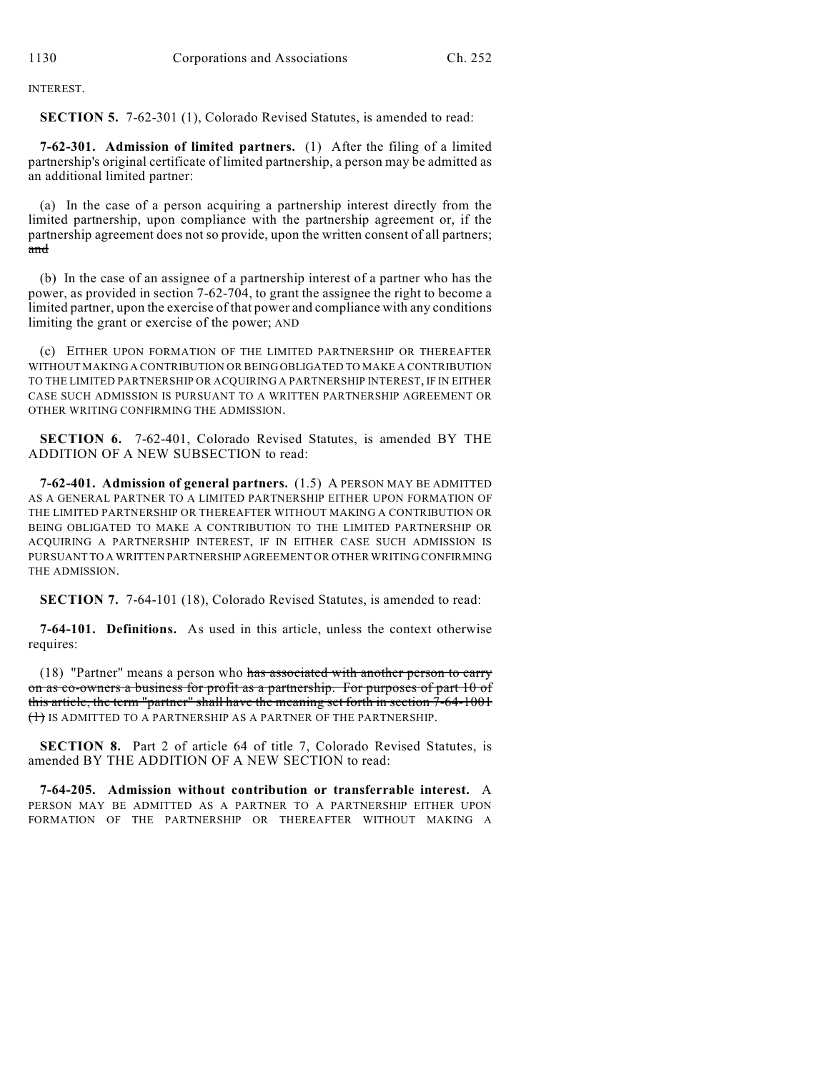INTEREST.

**SECTION 5.** 7-62-301 (1), Colorado Revised Statutes, is amended to read:

**7-62-301. Admission of limited partners.** (1) After the filing of a limited partnership's original certificate of limited partnership, a person may be admitted as an additional limited partner:

(a) In the case of a person acquiring a partnership interest directly from the limited partnership, upon compliance with the partnership agreement or, if the partnership agreement does not so provide, upon the written consent of all partners; and

(b) In the case of an assignee of a partnership interest of a partner who has the power, as provided in section 7-62-704, to grant the assignee the right to become a limited partner, upon the exercise of that power and compliance with any conditions limiting the grant or exercise of the power; AND

(c) EITHER UPON FORMATION OF THE LIMITED PARTNERSHIP OR THEREAFTER WITHOUT MAKING A CONTRIBUTION OR BEING OBLIGATED TO MAKE A CONTRIBUTION TO THE LIMITED PARTNERSHIP OR ACQUIRING A PARTNERSHIP INTEREST, IF IN EITHER CASE SUCH ADMISSION IS PURSUANT TO A WRITTEN PARTNERSHIP AGREEMENT OR OTHER WRITING CONFIRMING THE ADMISSION.

**SECTION 6.** 7-62-401, Colorado Revised Statutes, is amended BY THE ADDITION OF A NEW SUBSECTION to read:

**7-62-401. Admission of general partners.** (1.5) A PERSON MAY BE ADMITTED AS A GENERAL PARTNER TO A LIMITED PARTNERSHIP EITHER UPON FORMATION OF THE LIMITED PARTNERSHIP OR THEREAFTER WITHOUT MAKING A CONTRIBUTION OR BEING OBLIGATED TO MAKE A CONTRIBUTION TO THE LIMITED PARTNERSHIP OR ACQUIRING A PARTNERSHIP INTEREST, IF IN EITHER CASE SUCH ADMISSION IS PURSUANT TO A WRITTEN PARTNERSHIP AGREEMENT OR OTHER WRITING CONFIRMING THE ADMISSION.

**SECTION 7.** 7-64-101 (18), Colorado Revised Statutes, is amended to read:

**7-64-101. Definitions.** As used in this article, unless the context otherwise requires:

(18) "Partner" means a person who has associated with another person to carry on as co-owners a business for profit as a partnership. For purposes of part 10 of this article, the term "partner" shall have the meaning set forth in section 7-64-1001 (1) IS ADMITTED TO A PARTNERSHIP AS A PARTNER OF THE PARTNERSHIP.

**SECTION 8.** Part 2 of article 64 of title 7, Colorado Revised Statutes, is amended BY THE ADDITION OF A NEW SECTION to read:

**7-64-205. Admission without contribution or transferrable interest.** A PERSON MAY BE ADMITTED AS A PARTNER TO A PARTNERSHIP EITHER UPON FORMATION OF THE PARTNERSHIP OR THEREAFTER WITHOUT MAKING A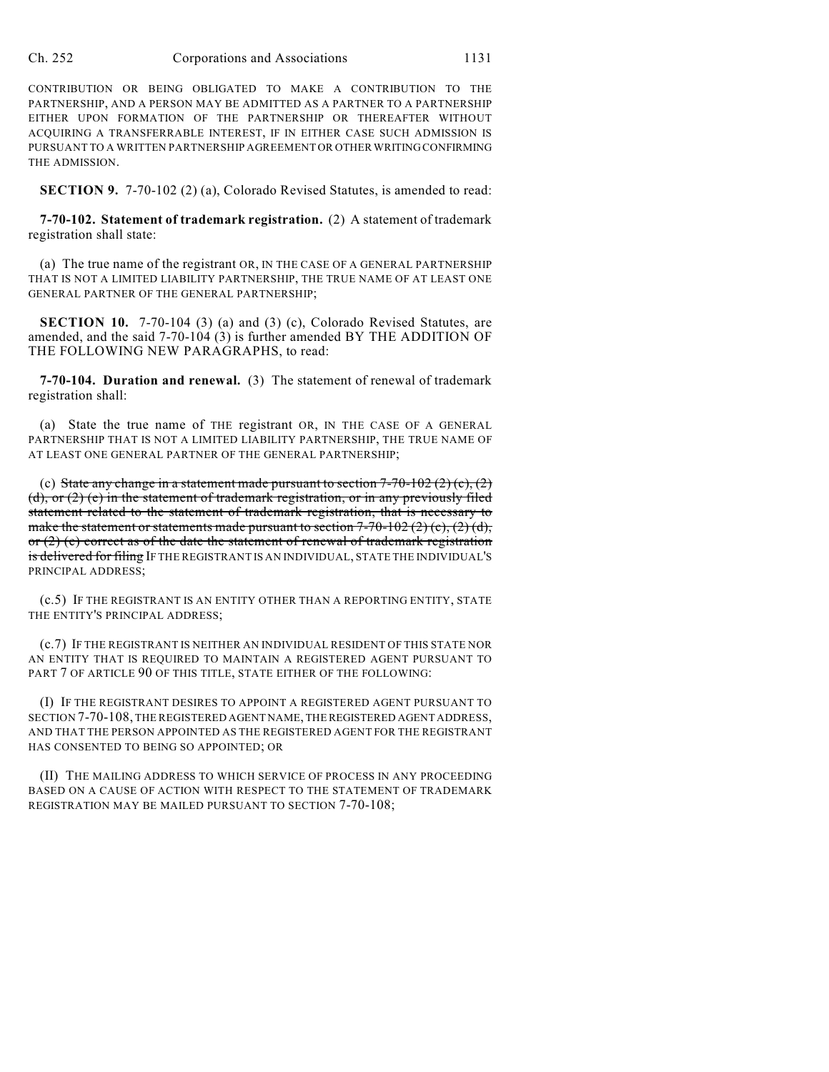CONTRIBUTION OR BEING OBLIGATED TO MAKE A CONTRIBUTION TO THE PARTNERSHIP, AND A PERSON MAY BE ADMITTED AS A PARTNER TO A PARTNERSHIP EITHER UPON FORMATION OF THE PARTNERSHIP OR THEREAFTER WITHOUT ACQUIRING A TRANSFERRABLE INTEREST, IF IN EITHER CASE SUCH ADMISSION IS PURSUANT TO A WRITTEN PARTNERSHIP AGREEMENT OR OTHER WRITING CONFIRMING THE ADMISSION.

**SECTION 9.** 7-70-102 (2) (a), Colorado Revised Statutes, is amended to read:

**7-70-102. Statement of trademark registration.** (2) A statement of trademark registration shall state:

(a) The true name of the registrant OR, IN THE CASE OF A GENERAL PARTNERSHIP THAT IS NOT A LIMITED LIABILITY PARTNERSHIP, THE TRUE NAME OF AT LEAST ONE GENERAL PARTNER OF THE GENERAL PARTNERSHIP;

**SECTION 10.** 7-70-104 (3) (a) and (3) (c), Colorado Revised Statutes, are amended, and the said 7-70-104 (3) is further amended BY THE ADDITION OF THE FOLLOWING NEW PARAGRAPHS, to read:

**7-70-104. Duration and renewal.** (3) The statement of renewal of trademark registration shall:

(a) State the true name of THE registrant OR, IN THE CASE OF A GENERAL PARTNERSHIP THAT IS NOT A LIMITED LIABILITY PARTNERSHIP, THE TRUE NAME OF AT LEAST ONE GENERAL PARTNER OF THE GENERAL PARTNERSHIP;

(c) State any change in a statement made pursuant to section  $7-70-102$  (2) (c), (2) (d), or (2) (e) in the statement of trademark registration, or in any previously filed statement related to the statement of trademark registration, that is necessary to make the statement or statements made pursuant to section  $7-70-102(2)(c)$ ,  $(2)(d)$ , or  $(2)$  (e) correct as of the date the statement of renewal of trademark registration is delivered for filing IF THE REGISTRANT IS AN INDIVIDUAL, STATE THE INDIVIDUAL'S PRINCIPAL ADDRESS;

(c.5) IF THE REGISTRANT IS AN ENTITY OTHER THAN A REPORTING ENTITY, STATE THE ENTITY'S PRINCIPAL ADDRESS;

(c.7) IF THE REGISTRANT IS NEITHER AN INDIVIDUAL RESIDENT OF THIS STATE NOR AN ENTITY THAT IS REQUIRED TO MAINTAIN A REGISTERED AGENT PURSUANT TO PART 7 OF ARTICLE 90 OF THIS TITLE, STATE EITHER OF THE FOLLOWING:

(I) IF THE REGISTRANT DESIRES TO APPOINT A REGISTERED AGENT PURSUANT TO SECTION 7-70-108, THE REGISTERED AGENT NAME, THE REGISTERED AGENT ADDRESS, AND THAT THE PERSON APPOINTED AS THE REGISTERED AGENT FOR THE REGISTRANT HAS CONSENTED TO BEING SO APPOINTED; OR

(II) THE MAILING ADDRESS TO WHICH SERVICE OF PROCESS IN ANY PROCEEDING BASED ON A CAUSE OF ACTION WITH RESPECT TO THE STATEMENT OF TRADEMARK REGISTRATION MAY BE MAILED PURSUANT TO SECTION 7-70-108;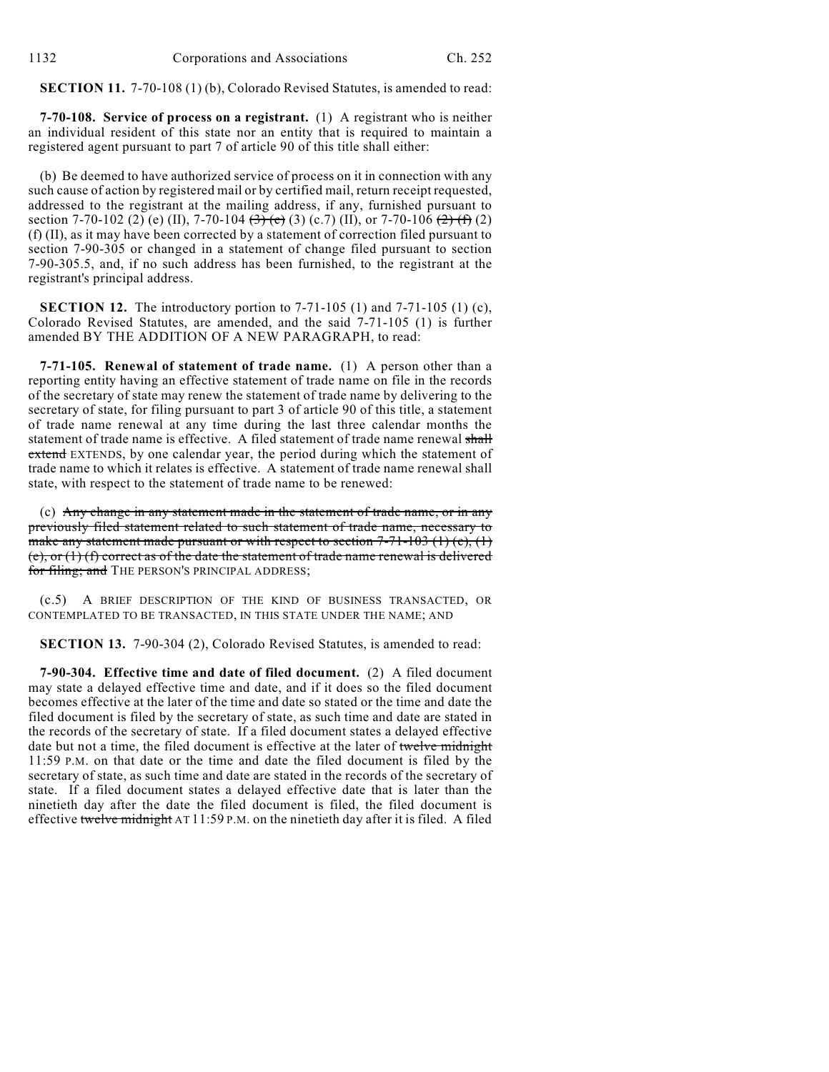**SECTION 11.** 7-70-108 (1) (b), Colorado Revised Statutes, is amended to read:

**7-70-108. Service of process on a registrant.** (1) A registrant who is neither an individual resident of this state nor an entity that is required to maintain a registered agent pursuant to part 7 of article 90 of this title shall either:

(b) Be deemed to have authorized service of process on it in connection with any such cause of action by registered mail or by certified mail, return receipt requested, addressed to the registrant at the mailing address, if any, furnished pursuant to section 7-70-102 (2) (e) (II), 7-70-104 (3) (c) (3) (c.7) (II), or 7-70-106 (2) (f) (2) (f) (II), as it may have been corrected by a statement of correction filed pursuant to section 7-90-305 or changed in a statement of change filed pursuant to section 7-90-305.5, and, if no such address has been furnished, to the registrant at the registrant's principal address.

**SECTION 12.** The introductory portion to 7-71-105 (1) and 7-71-105 (1) (c), Colorado Revised Statutes, are amended, and the said 7-71-105 (1) is further amended BY THE ADDITION OF A NEW PARAGRAPH, to read:

**7-71-105. Renewal of statement of trade name.** (1) A person other than a reporting entity having an effective statement of trade name on file in the records of the secretary of state may renew the statement of trade name by delivering to the secretary of state, for filing pursuant to part 3 of article 90 of this title, a statement of trade name renewal at any time during the last three calendar months the statement of trade name is effective. A filed statement of trade name renewal shall extend EXTENDS, by one calendar year, the period during which the statement of trade name to which it relates is effective. A statement of trade name renewal shall state, with respect to the statement of trade name to be renewed:

(c) Any change in any statement made in the statement of trade name, or in any previously filed statement related to such statement of trade name, necessary to make any statement made pursuant or with respect to section  $7-71-103$  (1) (c), (1)  $(e)$ , or  $(1)$  (f) correct as of the date the statement of trade name renewal is delivered for filing; and THE PERSON'S PRINCIPAL ADDRESS;

(c.5) A BRIEF DESCRIPTION OF THE KIND OF BUSINESS TRANSACTED, OR CONTEMPLATED TO BE TRANSACTED, IN THIS STATE UNDER THE NAME; AND

**SECTION 13.** 7-90-304 (2), Colorado Revised Statutes, is amended to read:

**7-90-304. Effective time and date of filed document.** (2) A filed document may state a delayed effective time and date, and if it does so the filed document becomes effective at the later of the time and date so stated or the time and date the filed document is filed by the secretary of state, as such time and date are stated in the records of the secretary of state. If a filed document states a delayed effective date but not a time, the filed document is effective at the later of twelve midnight 11:59 P.M. on that date or the time and date the filed document is filed by the secretary of state, as such time and date are stated in the records of the secretary of state. If a filed document states a delayed effective date that is later than the ninetieth day after the date the filed document is filed, the filed document is effective twelve midnight AT 11:59 P.M. on the ninetieth day after it is filed. A filed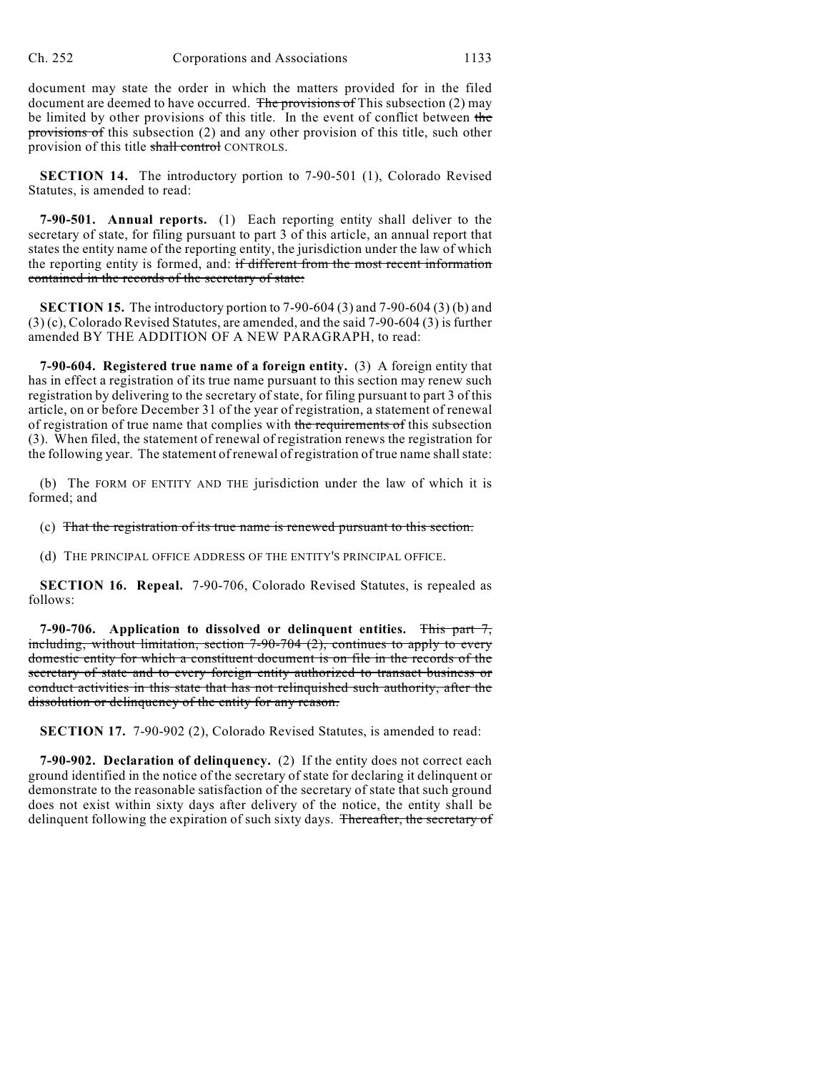document may state the order in which the matters provided for in the filed document are deemed to have occurred. The provisions of This subsection (2) may be limited by other provisions of this title. In the event of conflict between the provisions of this subsection (2) and any other provision of this title, such other provision of this title shall control CONTROLS.

**SECTION 14.** The introductory portion to 7-90-501 (1), Colorado Revised Statutes, is amended to read:

**7-90-501. Annual reports.** (1) Each reporting entity shall deliver to the secretary of state, for filing pursuant to part 3 of this article, an annual report that states the entity name of the reporting entity, the jurisdiction under the law of which the reporting entity is formed, and: if different from the most recent information contained in the records of the secretary of state:

**SECTION 15.** The introductory portion to 7-90-604 (3) and 7-90-604 (3) (b) and (3) (c), Colorado Revised Statutes, are amended, and the said 7-90-604 (3) is further amended BY THE ADDITION OF A NEW PARAGRAPH, to read:

**7-90-604. Registered true name of a foreign entity.** (3) A foreign entity that has in effect a registration of its true name pursuant to this section may renew such registration by delivering to the secretary of state, for filing pursuant to part 3 of this article, on or before December 31 of the year of registration, a statement of renewal of registration of true name that complies with the requirements of this subsection (3). When filed, the statement of renewal of registration renews the registration for the following year. The statement of renewal of registration of true name shall state:

(b) The FORM OF ENTITY AND THE jurisdiction under the law of which it is formed; and

(c) That the registration of its true name is renewed pursuant to this section.

(d) THE PRINCIPAL OFFICE ADDRESS OF THE ENTITY'S PRINCIPAL OFFICE.

**SECTION 16. Repeal.** 7-90-706, Colorado Revised Statutes, is repealed as follows:

**7-90-706. Application to dissolved or delinquent entities.** This part 7, including, without limitation, section 7-90-704 (2), continues to apply to every domestic entity for which a constituent document is on file in the records of the secretary of state and to every foreign entity authorized to transact business or conduct activities in this state that has not relinquished such authority, after the dissolution or delinquency of the entity for any reason.

**SECTION 17.** 7-90-902 (2), Colorado Revised Statutes, is amended to read:

**7-90-902. Declaration of delinquency.** (2) If the entity does not correct each ground identified in the notice of the secretary of state for declaring it delinquent or demonstrate to the reasonable satisfaction of the secretary of state that such ground does not exist within sixty days after delivery of the notice, the entity shall be delinquent following the expiration of such sixty days. Thereafter, the secretary of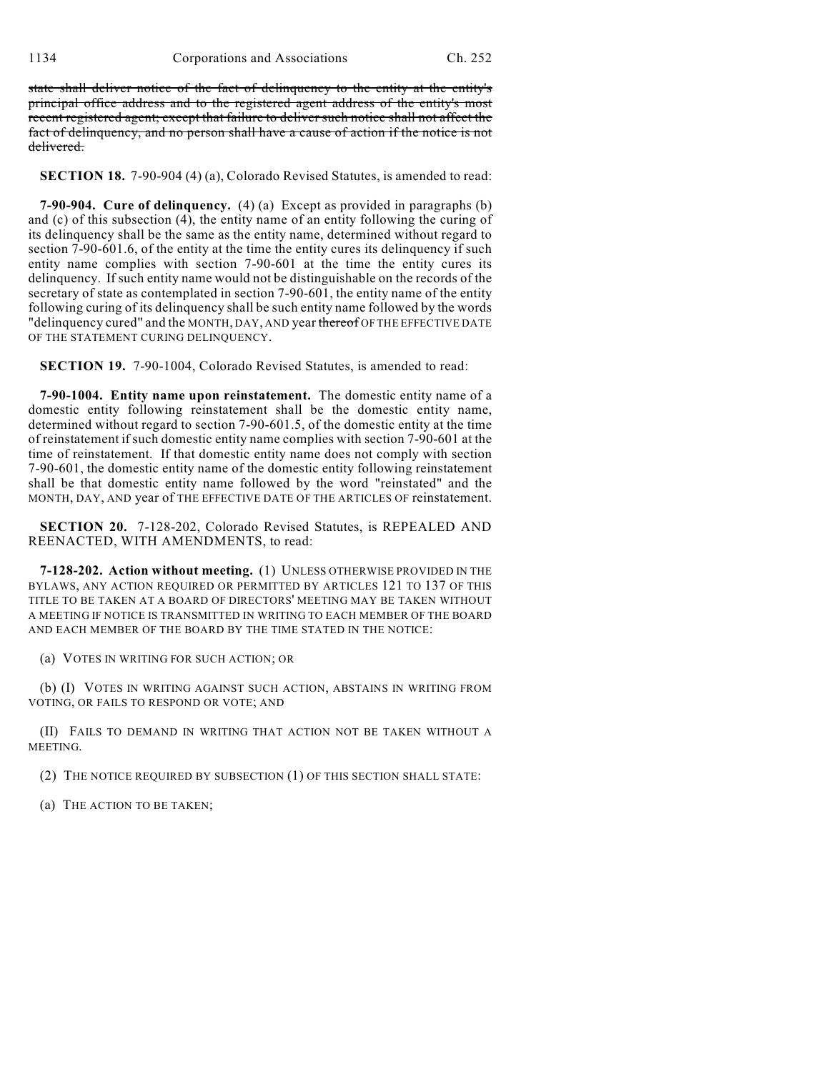state shall deliver notice of the fact of delinquency to the entity at the entity's principal office address and to the registered agent address of the entity's most recent registered agent; except that failure to deliver such notice shall not affect the fact of delinquency, and no person shall have a cause of action if the notice is not delivered.

**SECTION 18.** 7-90-904 (4) (a), Colorado Revised Statutes, is amended to read:

**7-90-904. Cure of delinquency.** (4) (a) Except as provided in paragraphs (b) and (c) of this subsection (4), the entity name of an entity following the curing of its delinquency shall be the same as the entity name, determined without regard to section 7-90-601.6, of the entity at the time the entity cures its delinquency if such entity name complies with section 7-90-601 at the time the entity cures its delinquency. If such entity name would not be distinguishable on the records of the secretary of state as contemplated in section 7-90-601, the entity name of the entity following curing of its delinquency shall be such entity name followed by the words "delinquency cured" and the MONTH, DAY, AND year thereof OF THE EFFECTIVE DATE OF THE STATEMENT CURING DELINQUENCY.

**SECTION 19.** 7-90-1004, Colorado Revised Statutes, is amended to read:

**7-90-1004. Entity name upon reinstatement.** The domestic entity name of a domestic entity following reinstatement shall be the domestic entity name, determined without regard to section 7-90-601.5, of the domestic entity at the time of reinstatement if such domestic entity name complies with section 7-90-601 at the time of reinstatement. If that domestic entity name does not comply with section 7-90-601, the domestic entity name of the domestic entity following reinstatement shall be that domestic entity name followed by the word "reinstated" and the MONTH, DAY, AND year of THE EFFECTIVE DATE OF THE ARTICLES OF reinstatement.

**SECTION 20.** 7-128-202, Colorado Revised Statutes, is REPEALED AND REENACTED, WITH AMENDMENTS, to read:

**7-128-202. Action without meeting.** (1) UNLESS OTHERWISE PROVIDED IN THE BYLAWS, ANY ACTION REQUIRED OR PERMITTED BY ARTICLES 121 TO 137 OF THIS TITLE TO BE TAKEN AT A BOARD OF DIRECTORS' MEETING MAY BE TAKEN WITHOUT A MEETING IF NOTICE IS TRANSMITTED IN WRITING TO EACH MEMBER OF THE BOARD AND EACH MEMBER OF THE BOARD BY THE TIME STATED IN THE NOTICE:

(a) VOTES IN WRITING FOR SUCH ACTION; OR

(b) (I) VOTES IN WRITING AGAINST SUCH ACTION, ABSTAINS IN WRITING FROM VOTING, OR FAILS TO RESPOND OR VOTE; AND

(II) FAILS TO DEMAND IN WRITING THAT ACTION NOT BE TAKEN WITHOUT A MEETING.

(2) THE NOTICE REQUIRED BY SUBSECTION (1) OF THIS SECTION SHALL STATE:

(a) THE ACTION TO BE TAKEN;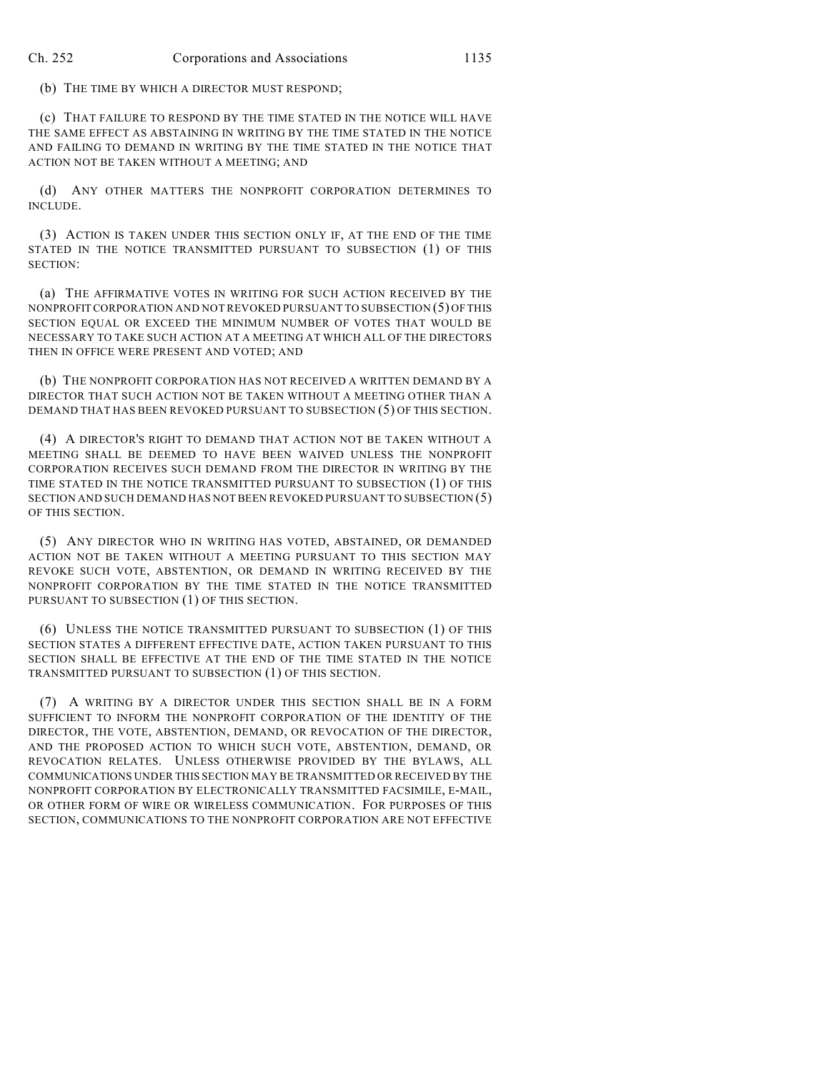(b) THE TIME BY WHICH A DIRECTOR MUST RESPOND;

(c) THAT FAILURE TO RESPOND BY THE TIME STATED IN THE NOTICE WILL HAVE THE SAME EFFECT AS ABSTAINING IN WRITING BY THE TIME STATED IN THE NOTICE AND FAILING TO DEMAND IN WRITING BY THE TIME STATED IN THE NOTICE THAT ACTION NOT BE TAKEN WITHOUT A MEETING; AND

(d) ANY OTHER MATTERS THE NONPROFIT CORPORATION DETERMINES TO INCLUDE.

(3) ACTION IS TAKEN UNDER THIS SECTION ONLY IF, AT THE END OF THE TIME STATED IN THE NOTICE TRANSMITTED PURSUANT TO SUBSECTION (1) OF THIS SECTION:

(a) THE AFFIRMATIVE VOTES IN WRITING FOR SUCH ACTION RECEIVED BY THE NONPROFIT CORPORATION AND NOT REVOKED PURSUANT TO SUBSECTION (5) OF THIS SECTION EQUAL OR EXCEED THE MINIMUM NUMBER OF VOTES THAT WOULD BE NECESSARY TO TAKE SUCH ACTION AT A MEETING AT WHICH ALL OF THE DIRECTORS THEN IN OFFICE WERE PRESENT AND VOTED; AND

(b) THE NONPROFIT CORPORATION HAS NOT RECEIVED A WRITTEN DEMAND BY A DIRECTOR THAT SUCH ACTION NOT BE TAKEN WITHOUT A MEETING OTHER THAN A DEMAND THAT HAS BEEN REVOKED PURSUANT TO SUBSECTION (5) OF THIS SECTION.

(4) A DIRECTOR'S RIGHT TO DEMAND THAT ACTION NOT BE TAKEN WITHOUT A MEETING SHALL BE DEEMED TO HAVE BEEN WAIVED UNLESS THE NONPROFIT CORPORATION RECEIVES SUCH DEMAND FROM THE DIRECTOR IN WRITING BY THE TIME STATED IN THE NOTICE TRANSMITTED PURSUANT TO SUBSECTION (1) OF THIS SECTION AND SUCH DEMAND HAS NOT BEEN REVOKED PURSUANT TO SUBSECTION (5) OF THIS SECTION.

(5) ANY DIRECTOR WHO IN WRITING HAS VOTED, ABSTAINED, OR DEMANDED ACTION NOT BE TAKEN WITHOUT A MEETING PURSUANT TO THIS SECTION MAY REVOKE SUCH VOTE, ABSTENTION, OR DEMAND IN WRITING RECEIVED BY THE NONPROFIT CORPORATION BY THE TIME STATED IN THE NOTICE TRANSMITTED PURSUANT TO SUBSECTION (1) OF THIS SECTION.

(6) UNLESS THE NOTICE TRANSMITTED PURSUANT TO SUBSECTION (1) OF THIS SECTION STATES A DIFFERENT EFFECTIVE DATE, ACTION TAKEN PURSUANT TO THIS SECTION SHALL BE EFFECTIVE AT THE END OF THE TIME STATED IN THE NOTICE TRANSMITTED PURSUANT TO SUBSECTION (1) OF THIS SECTION.

(7) A WRITING BY A DIRECTOR UNDER THIS SECTION SHALL BE IN A FORM SUFFICIENT TO INFORM THE NONPROFIT CORPORATION OF THE IDENTITY OF THE DIRECTOR, THE VOTE, ABSTENTION, DEMAND, OR REVOCATION OF THE DIRECTOR, AND THE PROPOSED ACTION TO WHICH SUCH VOTE, ABSTENTION, DEMAND, OR REVOCATION RELATES. UNLESS OTHERWISE PROVIDED BY THE BYLAWS, ALL COMMUNICATIONS UNDER THIS SECTION MAY BE TRANSMITTED OR RECEIVED BY THE NONPROFIT CORPORATION BY ELECTRONICALLY TRANSMITTED FACSIMILE, E-MAIL, OR OTHER FORM OF WIRE OR WIRELESS COMMUNICATION. FOR PURPOSES OF THIS SECTION, COMMUNICATIONS TO THE NONPROFIT CORPORATION ARE NOT EFFECTIVE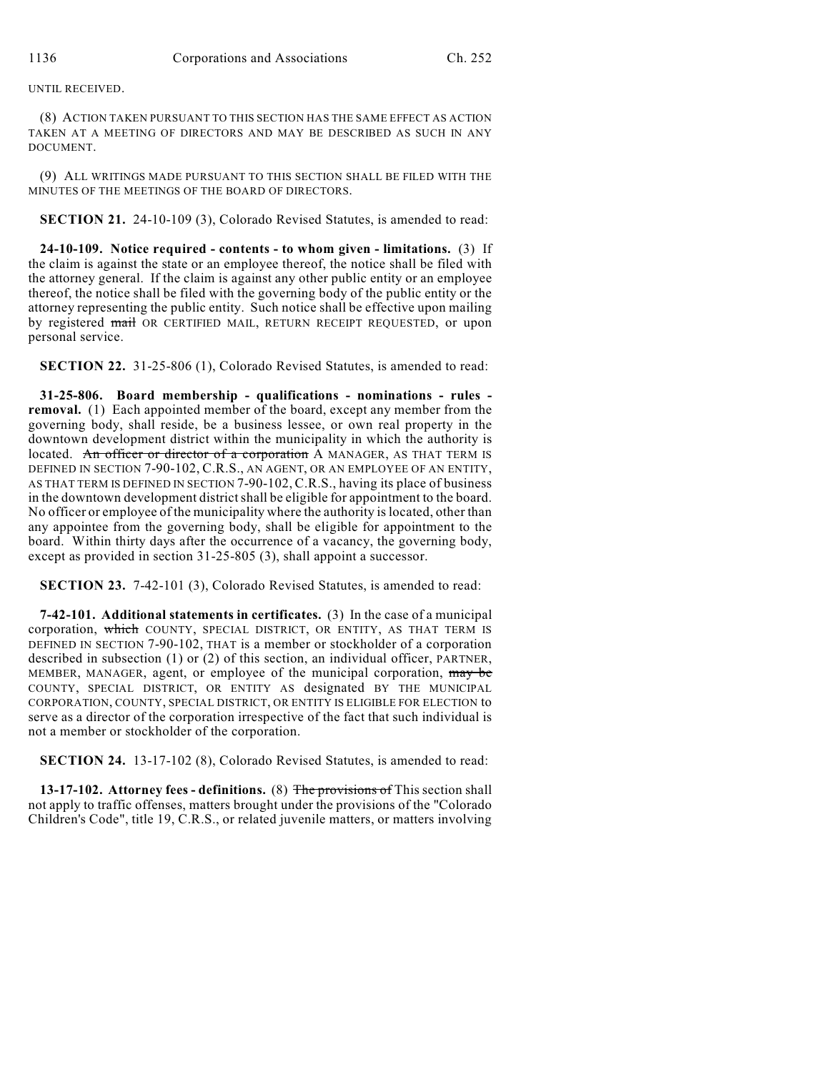## UNTIL RECEIVED.

(8) ACTION TAKEN PURSUANT TO THIS SECTION HAS THE SAME EFFECT AS ACTION TAKEN AT A MEETING OF DIRECTORS AND MAY BE DESCRIBED AS SUCH IN ANY DOCUMENT.

(9) ALL WRITINGS MADE PURSUANT TO THIS SECTION SHALL BE FILED WITH THE MINUTES OF THE MEETINGS OF THE BOARD OF DIRECTORS.

**SECTION 21.** 24-10-109 (3), Colorado Revised Statutes, is amended to read:

**24-10-109. Notice required - contents - to whom given - limitations.** (3) If the claim is against the state or an employee thereof, the notice shall be filed with the attorney general. If the claim is against any other public entity or an employee thereof, the notice shall be filed with the governing body of the public entity or the attorney representing the public entity. Such notice shall be effective upon mailing by registered mail OR CERTIFIED MAIL, RETURN RECEIPT REQUESTED, or upon personal service.

**SECTION 22.** 31-25-806 (1), Colorado Revised Statutes, is amended to read:

**31-25-806. Board membership - qualifications - nominations - rules removal.** (1) Each appointed member of the board, except any member from the governing body, shall reside, be a business lessee, or own real property in the downtown development district within the municipality in which the authority is located. An officer or director of a corporation A MANAGER, AS THAT TERM IS DEFINED IN SECTION 7-90-102, C.R.S., AN AGENT, OR AN EMPLOYEE OF AN ENTITY, AS THAT TERM IS DEFINED IN SECTION 7-90-102, C.R.S., having its place of business in the downtown development districtshall be eligible for appointment to the board. No officer or employee of the municipality where the authority is located, other than any appointee from the governing body, shall be eligible for appointment to the board. Within thirty days after the occurrence of a vacancy, the governing body, except as provided in section 31-25-805 (3), shall appoint a successor.

**SECTION 23.** 7-42-101 (3), Colorado Revised Statutes, is amended to read:

**7-42-101. Additional statements in certificates.** (3) In the case of a municipal corporation, which COUNTY, SPECIAL DISTRICT, OR ENTITY, AS THAT TERM IS DEFINED IN SECTION 7-90-102, THAT is a member or stockholder of a corporation described in subsection (1) or (2) of this section, an individual officer, PARTNER, MEMBER, MANAGER, agent, or employee of the municipal corporation, may be COUNTY, SPECIAL DISTRICT, OR ENTITY AS designated BY THE MUNICIPAL CORPORATION, COUNTY, SPECIAL DISTRICT, OR ENTITY IS ELIGIBLE FOR ELECTION to serve as a director of the corporation irrespective of the fact that such individual is not a member or stockholder of the corporation.

**SECTION 24.** 13-17-102 (8), Colorado Revised Statutes, is amended to read:

**13-17-102. Attorney fees - definitions.** (8) The provisions of This section shall not apply to traffic offenses, matters brought under the provisions of the "Colorado Children's Code", title 19, C.R.S., or related juvenile matters, or matters involving